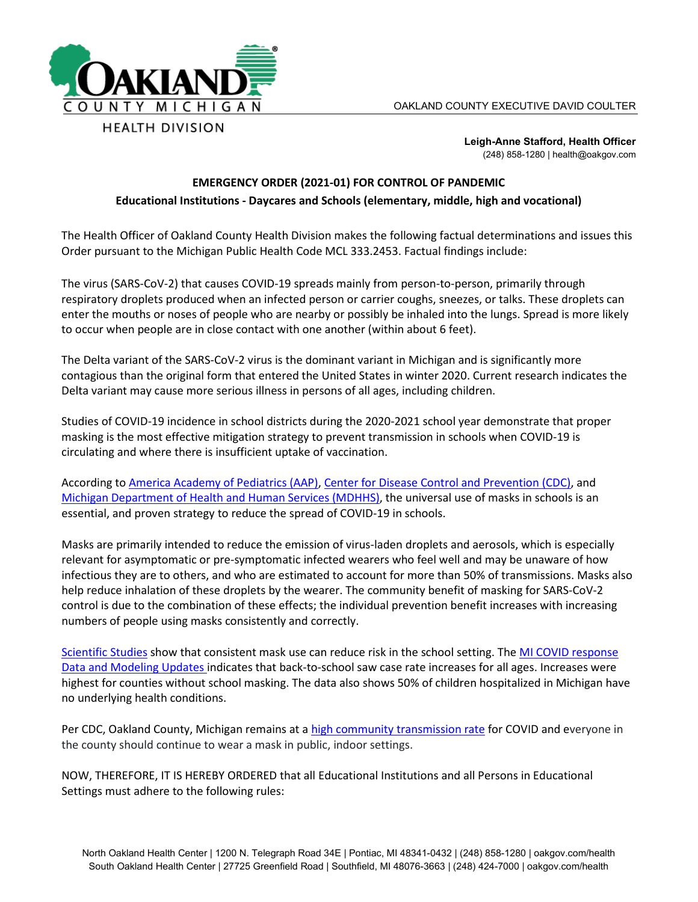

**Leigh-Anne Stafford, Health Officer** (248) 858-1280 | health@oakgov.com

## **EMERGENCY ORDER (2021-01) FOR CONTROL OF PANDEMIC Educational Institutions - Daycares and Schools (elementary, middle, high and vocational)**

The Health Officer of Oakland County Health Division makes the following factual determinations and issues this Order pursuant to the Michigan Public Health Code MCL 333.2453. Factual findings include:

The virus (SARS-CoV-2) that causes COVID-19 spreads mainly from person-to-person, primarily through respiratory droplets produced when an infected person or carrier coughs, sneezes, or talks. These droplets can enter the mouths or noses of people who are nearby or possibly be inhaled into the lungs. Spread is more likely to occur when people are in close contact with one another (within about 6 feet).

The Delta variant of the SARS-CoV-2 virus is the dominant variant in Michigan and is significantly more contagious than the original form that entered the United States in winter 2020. Current research indicates the Delta variant may cause more serious illness in persons of all ages, including children.

Studies of COVID-19 incidence in school districts during the 2020-2021 school year demonstrate that proper masking is the most effective mitigation strategy to prevent transmission in schools when COVID-19 is circulating and where there is insufficient uptake of vaccination.

According to [America Academy of Pediatrics](https://www.aap.org/en/news-room/news-releases/aap/2021/american-academy-of-pediatrics-updates-recommendations-for-opening-schools-in-fall-2021/) (AAP), [Center for Disease Control and Prevention](https://www.cdc.gov/coronavirus/2019-ncov/community/schools-childcare/k-12-guidance.html#:%7E:text=CDC%20recommends%20universal%20indoor%20masking,layered%20prevention%20strategies%20in%20place.) (CDC), and [Michigan Department of Health and Human Services \(MDHHS\),](https://www.cdc.gov/coronavirus/2019-ncov/community/schools-childcare/k-12-guidance.html#:%7E:text=CDC%20recommends%20universal%20indoor%20masking,layered%20prevention%20strategies%20in%20place.) the universal use of masks in schools is an essential, and proven strategy to reduce the spread of COVID-19 in schools.

Masks are primarily intended to reduce the emission of virus-laden droplets and aerosols, which is especially relevant for asymptomatic or pre-symptomatic infected wearers who feel well and may be unaware of how infectious they are to others, and who are estimated to account for more than 50% of transmissions. Masks also help reduce inhalation of these droplets by the wearer. The community benefit of masking for SARS-CoV-2 control is due to the combination of these effects; the individual prevention benefit increases with increasing numbers of people using masks consistently and correctly.

[Scientific Studies](https://www.oakgov.com/covid/best-practices/prepare/PublishingImages/Pages/face-covering/The%20Effectiveness%20of%20Face%20Masks%20to%20Prevent%20SARS-CoV-2%20Transmission2.pdf) show that consistent mask use can reduce risk in the school setting. The [MI COVID response](https://www.michigan.gov/coronavirus/0,9753,7-406-98163_98173_105123---,00.html)  [Data and Modeling Updates](https://www.michigan.gov/coronavirus/0,9753,7-406-98163_98173_105123---,00.html) indicates that back-to-school saw case rate increases for all ages. Increases were highest for counties without school masking. The data also shows 50% of children hospitalized in Michigan have no underlying health conditions.

Per CDC, Oakland County, Michigan remains at a [high community transmission rate](https://covid.cdc.gov/covid-data-tracker/#county-view) for COVID and everyone in the county should continue to wear a mask in public, indoor settings.

NOW, THEREFORE, IT IS HEREBY ORDERED that all Educational Institutions and all Persons in Educational Settings must adhere to the following rules: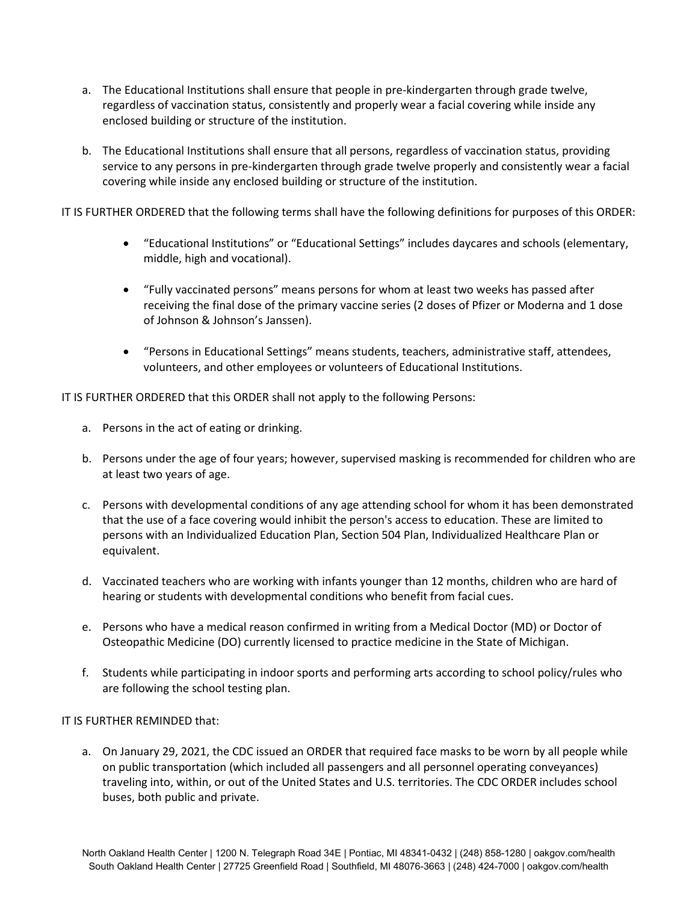- a. The Educational Institutions shall ensure that people in pre-kindergarten through grade twelve, regardless of vaccination status, consistently and properly wear a facial covering while inside any enclosed building or structure of the institution.
- b. The Educational Institutions shall ensure that all persons, regardless of vaccination status, providing service to any persons in pre-kindergarten through grade twelve properly and consistently wear a facial covering while inside any enclosed building or structure of the institution.

IT IS FURTHER ORDERED that the following terms shall have the following definitions for purposes of this ORDER:

- "Educational Institutions" or "Educational Settings" includes daycares and schools (elementary, middle, high and vocational).
- "Fully vaccinated persons" means persons for whom at least two weeks has passed after receiving the final dose of the primary vaccine series (2 doses of Pfizer or Moderna and 1 dose of Johnson & Johnson's Janssen).
- "Persons in Educational Settings" means students, teachers, administrative staff, attendees, volunteers, and other employees or volunteers of Educational Institutions.

IT IS FURTHER ORDERED that this ORDER shall not apply to the following Persons:

- a. Persons in the act of eating or drinking.
- b. Persons under the age of four years; however, supervised masking is recommended for children who are at least two years of age.
- c. Persons with developmental conditions of any age attending school for whom it has been demonstrated that the use of a face covering would inhibit the person's access to education. These are limited to persons with an Individualized Education Plan, Section 504 Plan, Individualized Healthcare Plan or equivalent.
- d. Vaccinated teachers who are working with infants younger than 12 months, children who are hard of hearing or students with developmental conditions who benefit from facial cues.
- e. Persons who have a medical reason confirmed in writing from a Medical Doctor (MD) or Doctor of Osteopathic Medicine (DO) currently licensed to practice medicine in the State of Michigan.
- f. Students while participating in indoor sports and performing arts according to school policy/rules who are following the school testing plan.

## IT IS FURTHER REMINDED that:

a. On January 29, 2021, the CDC issued an ORDER that required face masks to be worn by all people while on public transportation (which included all passengers and all personnel operating conveyances) traveling into, within, or out of the United States and U.S. territories. The CDC ORDER includes school buses, both public and private.